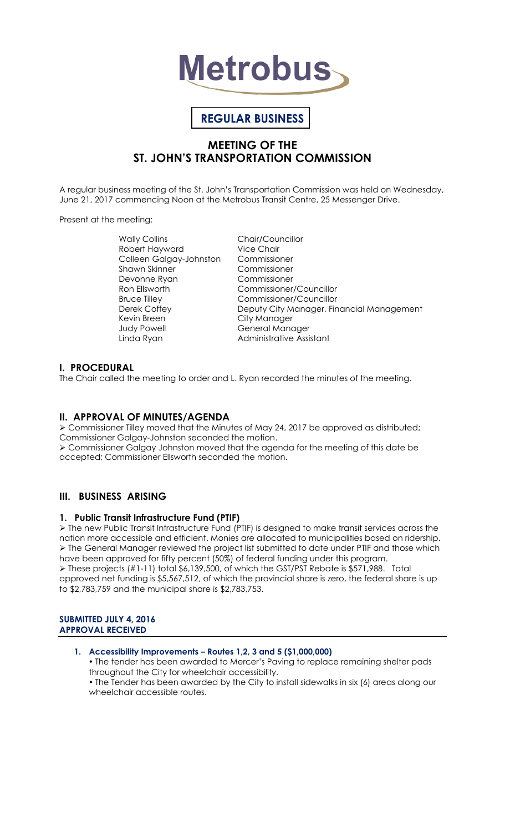

# **REGULAR BUSINESS**

# **MEETING OF THE ST. JOHN'S TRANSPORTATION COMMISSION**

A regular business meeting of the St. John's Transportation Commission was held on Wednesday, June 21, 2017 commencing Noon at the Metrobus Transit Centre, 25 Messenger Drive.

Present at the meeting:

Wally Collins **Chair/Councillor** Robert Hayward Vice Chair Colleen Galgay-Johnston Commissioner Shawn Skinner Commissioner Devonne Ryan Commissioner Kevin Breen City Manager Judy Powell **General Manager** 

Ron Ellsworth Commissioner/Councillor Bruce Tilley Commissioner/Councillor<br>Deputy City Manager, Fin Deputy City Manager, Financial Management Linda Ryan **Administrative Assistant** 

# **I. PROCEDURAL**

The Chair called the meeting to order and L. Ryan recorded the minutes of the meeting.

# **II. APPROVAL OF MINUTES/AGENDA**

 Commissioner Tilley moved that the Minutes of May 24, 2017 be approved as distributed; Commissioner Galgay-Johnston seconded the motion. Commissioner Galgay Johnston moved that the agenda for the meeting of this date be accepted; Commissioner Ellsworth seconded the motion.

# **III. BUSINESS ARISING**

# **1. Public Transit Infrastructure Fund (PTIF)**

 The new Public Transit Infrastructure Fund (PTIF) is designed to make transit services across the nation more accessible and efficient. Monies are allocated to municipalities based on ridership.  $\triangleright$  The General Manager reviewed the project list submitted to date under PTIF and those which have been approved for fifty percent (50%) of federal funding under this program. These projects (#1-11) total \$6,139,500, of which the GST/PST Rebate is \$571,988. Total approved net funding is \$5,567,512, of which the provincial share is zero, the federal share is up to \$2,783,759 and the municipal share is \$2,783,753.

# **SUBMITTED JULY 4, 2016 APPROVAL RECEIVED**

# **1. Accessibility Improvements – Routes 1,2, 3 and 5 (\$1,000,000)**

 The tender has been awarded to Mercer's Paving to replace remaining shelter pads throughout the City for wheelchair accessibility.

 The Tender has been awarded by the City to install sidewalks in six (6) areas along our wheelchair accessible routes.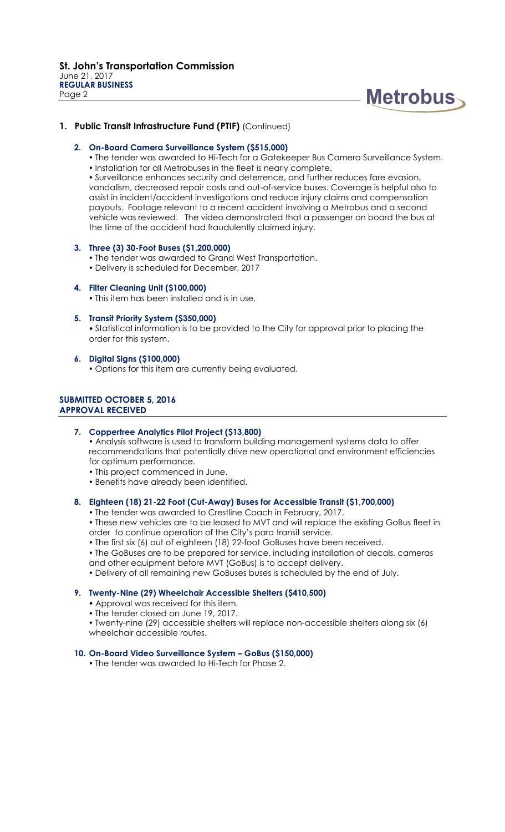

# **1. Public Transit Infrastructure Fund (PTIF)** (Continued)

### **2. On-Board Camera Surveillance System (\$515,000)**

- The tender was awarded to Hi-Tech for a Gatekeeper Bus Camera Surveillance System.
- $\bullet$  Installation for all Metrobuses in the fleet is nearly complete.

 Surveillance enhances security and deterrence, and further reduces fare evasion, vandalism, decreased repair costs and out-of-service buses. Coverage is helpful also to assist in incident/accident investigations and reduce injury claims and compensation payouts. Footage relevant to a recent accident involving a Metrobus and a second vehicle was reviewed. The video demonstrated that a passenger on board the bus at the time of the accident had fraudulently claimed injury.

### **3. Three (3) 30-Foot Buses (\$1,200,000)**

- The tender was awarded to Grand West Transportation.
- Delivery is scheduled for December, 2017
- **4. Filter Cleaning Unit (\$100,000)**
	- This item has been installed and is in use.
- **5. Transit Priority System (\$350,000)**

 Statistical information is to be provided to the City for approval prior to placing the order for this system.

- **6. Digital Signs (\$100,000)**
	- Options for this item are currently being evaluated.

# **SUBMITTED OCTOBER 5, 2016 APPROVAL RECEIVED**

- **7. Coppertree Analytics Pilot Project (\$13,800)** Analysis software is used to transform building management systems data to offer recommendations that potentially drive new operational and environment efficiencies for optimum performance.
	- This project commenced in June.
	- Benefits have already been identified.
- **8. Eighteen (18) 21-22 Foot (Cut-Away) Buses for Accessible Transit (\$1,700,000)**
	- The tender was awarded to Crestline Coach in February, 2017.
	- These new vehicles are to be leased to MVT and will replace the existing GoBus fleet in order to continue operation of the City's para transit service.
	- The first six (6) out of eighteen (18) 22-foot GoBuses have been received.
	- The GoBuses are to be prepared for service, including installation of decals, cameras and other equipment before MVT (GoBus) is to accept delivery.
	- Delivery of all remaining new GoBuses buses is scheduled by the end of July.

# **9. Twenty-Nine (29) Wheelchair Accessible Shelters (\$410,500)**

- Approval was received for this item.
- The tender closed on June 19, 2017.

 Twenty-nine (29) accessible shelters will replace non-accessible shelters along six (6) wheelchair accessible routes.

# **10. On-Board Video Surveillance System – GoBus (\$150,000)**

• The tender was awarded to Hi-Tech for Phase 2.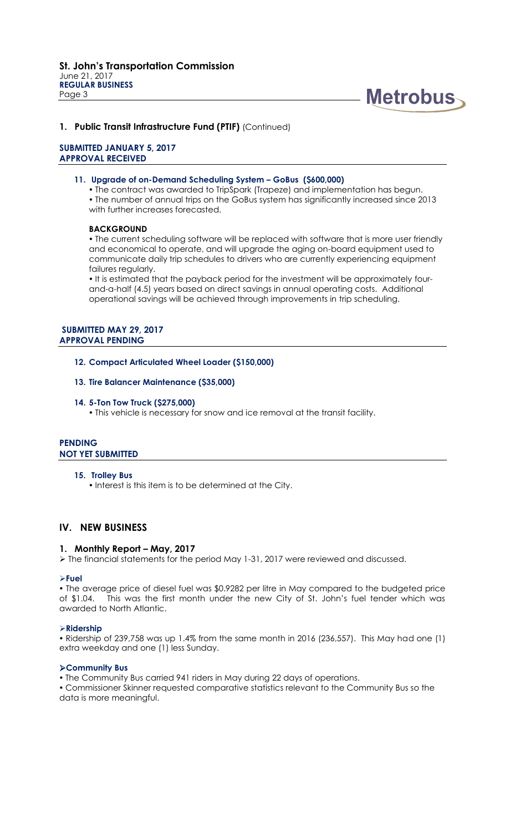

# **1. Public Transit Infrastructure Fund (PTIF)** (Continued)

### **SUBMITTED JANUARY 5, 2017 APPROVAL RECEIVED**

#### **11. Upgrade of on-Demand Scheduling System – GoBus (\$600,000)**

• The contract was awarded to TripSpark (Trapeze) and implementation has begun. The number of annual trips on the GoBus system has significantly increased since 2013 with further increases forecasted.

### **BACKGROUND**

 The current scheduling software will be replaced with software that is more user friendly and economical to operate, and will upgrade the aging on-board equipment used to communicate daily trip schedules to drivers who are currently experiencing equipment failures regularly.

• It is estimated that the payback period for the investment will be approximately fourand-a-half (4.5) years based on direct savings in annual operating costs. Additional operational savings will be achieved through improvements in trip scheduling.

### **SUBMITTED MAY 29, 2017 APPROVAL PENDING**

**12. Compact Articulated Wheel Loader (\$150,000)**

### **13. Tire Balancer Maintenance (\$35,000)**

#### **14. 5-Ton Tow Truck (\$275,000)**

This vehicle is necessary for snow and ice removal at the transit facility.

# **PENDING NOT YET SUBMITTED**

### **15. Trolley Bus**

• Interest is this item is to be determined at the City.

# **IV. NEW BUSINESS**

### **1. Monthly Report – May, 2017**

 $\triangleright$  The financial statements for the period May 1-31, 2017 were reviewed and discussed.

### **Fuel**

 The average price of diesel fuel was \$0.9282 per litre in May compared to the budgeted price of \$1.04. This was the first month under the new City of St. John's fuel tender which was awarded to North Atlantic.

### **Ridership**

 Ridership of 239,758 was up 1.4% from the same month in 2016 (236,557). This May had one (1) extra weekday and one (1) less Sunday.

### **Community Bus**

The Community Bus carried 941 riders in May during 22 days of operations.

 Commissioner Skinner requested comparative statistics relevant to the Community Bus so the data is more meaningful.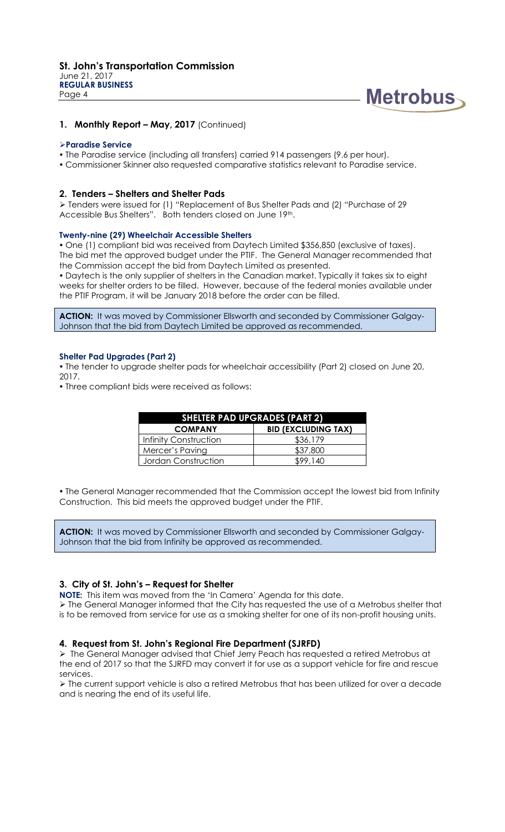

# **1. Monthly Report – May, 2017** (Continued)

### **Paradise Service**

- The Paradise service (including all transfers) carried 914 passengers (9.6 per hour).
- Commissioner Skinner also requested comparative statistics relevant to Paradise service.

### **2. Tenders – Shelters and Shelter Pads**

 Tenders were issued for (1) "Replacement of Bus Shelter Pads and (2) "Purchase of 29 Accessible Bus Shelters". Both tenders closed on June 19th.

### **Twenty-nine (29) Wheelchair Accessible Shelters**

 One (1) compliant bid was received from Daytech Limited \$356,850 (exclusive of taxes). The bid met the approved budget under the PTIF. The General Manager recommended that the Commission accept the bid from Daytech Limited as presented.

 Daytech is the only supplier of shelters in the Canadian market. Typically it takes six to eight weeks for shelter orders to be filled. However, because of the federal monies available under the PTIF Program, it will be January 2018 before the order can be filled.

**ACTION:** It was moved by Commissioner Ellsworth and seconded by Commissioner Galgay-Johnson that the bid from Daytech Limited be approved as recommended.

### **Shelter Pad Upgrades (Part 2)**

 The tender to upgrade shelter pads for wheelchair accessibility (Part 2) closed on June 20, 2017.

Three compliant bids were received as follows:

| <b>SHELTER PAD UPGRADES (PART 2)</b> |                            |
|--------------------------------------|----------------------------|
| <b>COMPANY</b>                       | <b>BID (EXCLUDING TAX)</b> |
| Infinity Construction                | \$36,179                   |
| Mercer's Paving                      | \$37,800                   |
| Jordan Construction                  | \$99.140                   |

 The General Manager recommended that the Commission accept the lowest bid from Infinity Construction. This bid meets the approved budget under the PTIF.

**ACTION:** It was moved by Commissioner Ellsworth and seconded by Commissioner Galgay-Johnson that the bid from Infinity be approved as recommended.

# **3. City of St. John's – Request for Shelter**

**NOTE:** This item was moved from the 'In Camera' Agenda for this date.

 The General Manager informed that the City has requested the use of a Metrobus shelter that is to be removed from service for use as a smoking shelter for one of its non-profit housing units.

# **4. Request from St. John's Regional Fire Department (SJRFD)**

 The General Manager advised that Chief Jerry Peach has requested a retired Metrobus at the end of 2017 so that the SJRFD may convert it for use as a support vehicle for fire and rescue services.

 The current support vehicle is also a retired Metrobus that has been utilized for over a decade and is nearing the end of its useful life.